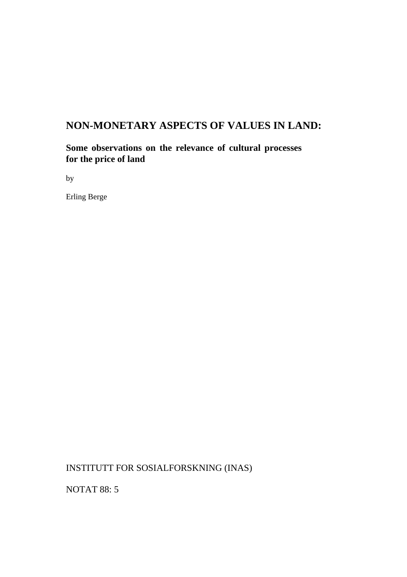# **NON-MONETARY ASPECTS OF VALUES IN LAND:**

**Some observations on the relevance of cultural processes for the price of land** 

by

Erling Berge

INSTITUTT FOR SOSIALFORSKNING (INAS)

NOTAT 88: 5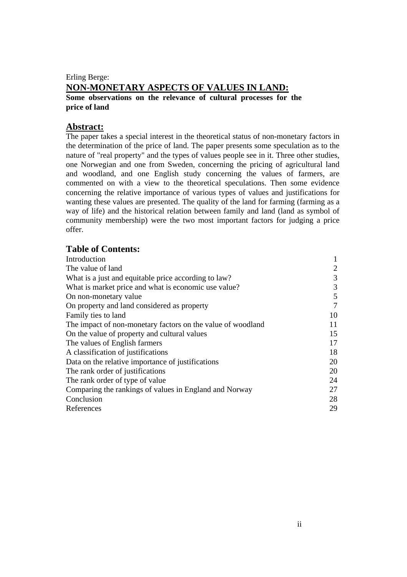### Erling Berge: **NON-MONETARY ASPECTS OF VALUES IN LAND: Some observations on the relevance of cultural processes for the price of land**

### **Abstract:**

The paper takes a special interest in the theoretical status of non-monetary factors in the determination of the price of land. The paper presents some speculation as to the nature of "real property" and the types of values people see in it. Three other studies, one Norwegian and one from Sweden, concerning the pricing of agricultural land and woodland, and one English study concerning the values of farmers, are commented on with a view to the theoretical speculations. Then some evidence concerning the relative importance of various types of values and justifications for wanting these values are presented. The quality of the land for farming (farming as a way of life) and the historical relation between family and land (land as symbol of community membership) were the two most important factors for judging a price offer.

| <b>Table of Contents:</b>                                   |    |
|-------------------------------------------------------------|----|
| Introduction                                                |    |
| The value of land                                           | 2  |
| What is a just and equitable price according to law?        | 3  |
| What is market price and what is economic use value?        | 3  |
| On non-monetary value                                       | 5  |
| On property and land considered as property                 | 7  |
| Family ties to land                                         | 10 |
| The impact of non-monetary factors on the value of woodland | 11 |
| On the value of property and cultural values                | 15 |
| The values of English farmers                               | 17 |
| A classification of justifications                          | 18 |
| Data on the relative importance of justifications           | 20 |
| The rank order of justifications                            | 20 |
| The rank order of type of value                             | 24 |
| Comparing the rankings of values in England and Norway      | 27 |
| Conclusion                                                  | 28 |
| References                                                  | 29 |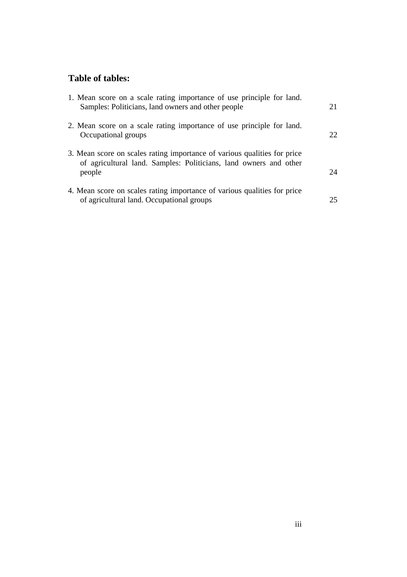# **Table of tables:**

| 1. Mean score on a scale rating importance of use principle for land.<br>Samples: Politicians, land owners and other people                             | 21  |
|---------------------------------------------------------------------------------------------------------------------------------------------------------|-----|
| 2. Mean score on a scale rating importance of use principle for land.<br>Occupational groups                                                            | 22. |
| 3. Mean score on scales rating importance of various qualities for price<br>of agricultural land. Samples: Politicians, land owners and other<br>people | 24. |
| 4. Mean score on scales rating importance of various qualities for price<br>of agricultural land. Occupational groups                                   | 25  |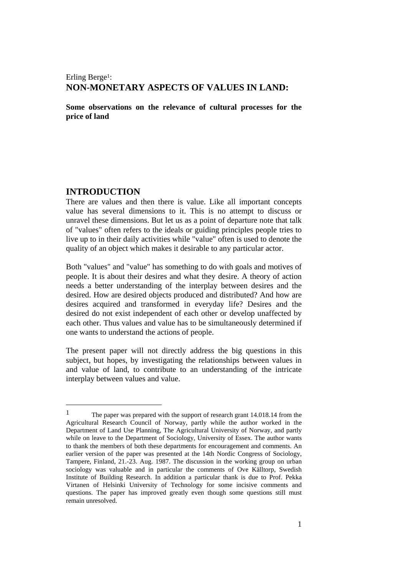### Erling Berge<sup>1</sup>: **NON-MONETARY ASPECTS OF VALUES IN LAND:**

**Some observations on the relevance of cultural processes for the price of land** 

#### **INTRODUCTION**

 $\overline{a}$ 

There are values and then there is value. Like all important concepts value has several dimensions to it. This is no attempt to discuss or unravel these dimensions. But let us as a point of departure note that talk of "values" often refers to the ideals or guiding principles people tries to live up to in their daily activities while "value" often is used to denote the quality of an object which makes it desirable to any particular actor.

Both "values" and "value" has something to do with goals and motives of people. It is about their desires and what they desire. A theory of action needs a better understanding of the interplay between desires and the desired. How are desired objects produced and distributed? And how are desires acquired and transformed in everyday life? Desires and the desired do not exist independent of each other or develop unaffected by each other. Thus values and value has to be simultaneously determined if one wants to understand the actions of people.

The present paper will not directly address the big questions in this subject, but hopes, by investigating the relationships between values in and value of land, to contribute to an understanding of the intricate interplay between values and value.

<sup>&</sup>lt;sup>1</sup> The paper was prepared with the support of research grant  $14.018.14$  from the Agricultural Research Council of Norway, partly while the author worked in the Department of Land Use Planning, The Agricultural University of Norway, and partly while on leave to the Department of Sociology, University of Essex. The author wants to thank the members of both these departments for encouragement and comments. An earlier version of the paper was presented at the 14th Nordic Congress of Sociology, Tampere, Finland, 21.-23. Aug. 1987. The discussion in the working group on urban sociology was valuable and in particular the comments of Ove Källtorp, Swedish Institute of Building Research. In addition a particular thank is due to Prof. Pekka Virtanen of Helsinki University of Technology for some incisive comments and questions. The paper has improved greatly even though some questions still must remain unresolved.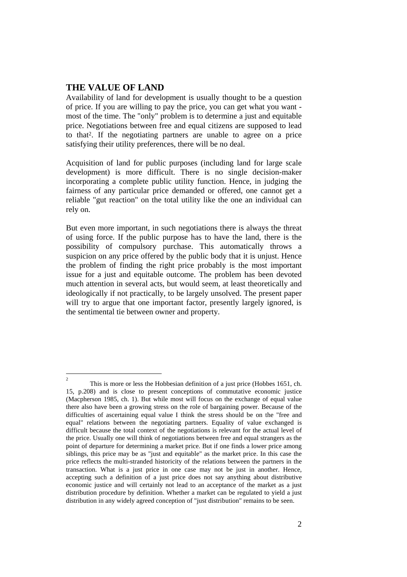#### **THE VALUE OF LAND**

Availability of land for development is usually thought to be a question of price. If you are willing to pay the price, you can get what you want most of the time. The "only" problem is to determine a just and equitable price. Negotiations between free and equal citizens are supposed to lead to that2. If the negotiating partners are unable to agree on a price satisfying their utility preferences, there will be no deal.

Acquisition of land for public purposes (including land for large scale development) is more difficult. There is no single decision-maker incorporating a complete public utility function. Hence, in judging the fairness of any particular price demanded or offered, one cannot get a reliable "gut reaction" on the total utility like the one an individual can rely on.

But even more important, in such negotiations there is always the threat of using force. If the public purpose has to have the land, there is the possibility of compulsory purchase. This automatically throws a suspicion on any price offered by the public body that it is unjust. Hence the problem of finding the right price probably is the most important issue for a just and equitable outcome. The problem has been devoted much attention in several acts, but would seem, at least theoretically and ideologically if not practically, to be largely unsolved. The present paper will try to argue that one important factor, presently largely ignored, is the sentimental tie between owner and property.

 $\overline{c}$ This is more or less the Hobbesian definition of a just price (Hobbes 1651, ch. 15, p.208) and is close to present conceptions of commutative economic justice (Macpherson 1985, ch. 1). But while most will focus on the exchange of equal value there also have been a growing stress on the role of bargaining power. Because of the difficulties of ascertaining equal value I think the stress should be on the "free and equal" relations between the negotiating partners. Equality of value exchanged is difficult because the total context of the negotiations is relevant for the actual level of the price. Usually one will think of negotiations between free and equal strangers as the point of departure for determining a market price. But if one finds a lower price among siblings, this price may be as "just and equitable" as the market price. In this case the price reflects the multi-stranded historicity of the relations between the partners in the transaction. What is a just price in one case may not be just in another. Hence, accepting such a definition of a just price does not say anything about distributive economic justice and will certainly not lead to an acceptance of the market as a just distribution procedure by definition. Whether a market can be regulated to yield a just distribution in any widely agreed conception of "just distribution" remains to be seen.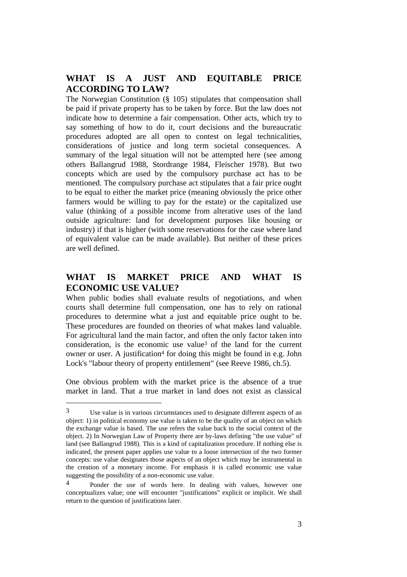### **WHAT IS A JUST AND EQUITABLE PRICE ACCORDING TO LAW?**

The Norwegian Constitution (§ 105) stipulates that compensation shall be paid if private property has to be taken by force. But the law does not indicate how to determine a fair compensation. Other acts, which try to say something of how to do it, court decisions and the bureaucratic procedures adopted are all open to contest on legal technicalities, considerations of justice and long term societal consequences. A summary of the legal situation will not be attempted here (see among others Ballangrud 1988, Stordrange 1984, Fleischer 1978). But two concepts which are used by the compulsory purchase act has to be mentioned. The compulsory purchase act stipulates that a fair price ought to be equal to either the market price (meaning obviously the price other farmers would be willing to pay for the estate) or the capitalized use value (thinking of a possible income from alterative uses of the land outside agriculture: land for development purposes like housing or industry) if that is higher (with some reservations for the case where land of equivalent value can be made available). But neither of these prices are well defined.

## **WHAT IS MARKET PRICE AND WHAT IS ECONOMIC USE VALUE?**

When public bodies shall evaluate results of negotiations, and when courts shall determine full compensation, one has to rely on rational procedures to determine what a just and equitable price ought to be. These procedures are founded on theories of what makes land valuable. For agricultural land the main factor, and often the only factor taken into consideration, is the economic use value3 of the land for the current owner or user. A justification<sup>4</sup> for doing this might be found in e.g. John Lock's "labour theory of property entitlement" (see Reeve 1986, ch.5).

One obvious problem with the market price is the absence of a true market in land. That a true market in land does not exist as classical

<sup>3</sup> Use value is in various circumstances used to designate different aspects of an object: 1) in political economy use value is taken to be the quality of an object on which the exchange value is based. The use refers the value back to the social context of the object. 2) In Norwegian Law of Property there are by-laws defining "the use value" of land (see Ballangrud 1988). This is a kind of capitalization procedure. If nothing else is indicated, the present paper applies use value to a loose intersection of the two former concepts: use value designates those aspects of an object which may be instrumental in the creation of a monetary income. For emphasis it is called economic use value suggesting the possibility of a non-economic use value.

<sup>4</sup> Ponder the use of words here. In dealing with values, however one conceptualizes value; one will encounter "justifications" explicit or implicit. We shall return to the question of justifications later.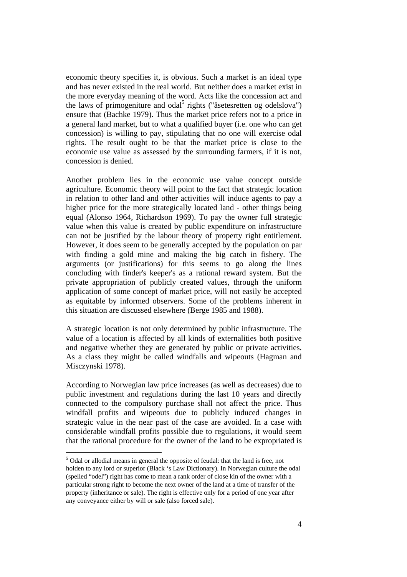economic theory specifies it, is obvious. Such a market is an ideal type and has never existed in the real world. But neither does a market exist in the more everyday meaning of the word. Acts like the concession act and the laws of primogeniture and odal<sup>5</sup> rights ("åsetesretten og odelslova") ensure that (Bachke 1979). Thus the market price refers not to a price in a general land market, but to what a qualified buyer (i.e. one who can get concession) is willing to pay, stipulating that no one will exercise odal rights. The result ought to be that the market price is close to the economic use value as assessed by the surrounding farmers, if it is not, concession is denied.

Another problem lies in the economic use value concept outside agriculture. Economic theory will point to the fact that strategic location in relation to other land and other activities will induce agents to pay a higher price for the more strategically located land - other things being equal (Alonso 1964, Richardson 1969). To pay the owner full strategic value when this value is created by public expenditure on infrastructure can not be justified by the labour theory of property right entitlement. However, it does seem to be generally accepted by the population on par with finding a gold mine and making the big catch in fishery. The arguments (or justifications) for this seems to go along the lines concluding with finder's keeper's as a rational reward system. But the private appropriation of publicly created values, through the uniform application of some concept of market price, will not easily be accepted as equitable by informed observers. Some of the problems inherent in this situation are discussed elsewhere (Berge 1985 and 1988).

A strategic location is not only determined by public infrastructure. The value of a location is affected by all kinds of externalities both positive and negative whether they are generated by public or private activities. As a class they might be called windfalls and wipeouts (Hagman and Misczynski 1978).

According to Norwegian law price increases (as well as decreases) due to public investment and regulations during the last 10 years and directly connected to the compulsory purchase shall not affect the price. Thus windfall profits and wipeouts due to publicly induced changes in strategic value in the near past of the case are avoided. In a case with considerable windfall profits possible due to regulations, it would seem that the rational procedure for the owner of the land to be expropriated is

<sup>&</sup>lt;sup>5</sup> Odal or allodial means in general the opposite of feudal: that the land is free, not holden to any lord or superior (Black 's Law Dictionary). In Norwegian culture the odal (spelled "odel") right has come to mean a rank order of close kin of the owner with a particular strong right to become the next owner of the land at a time of transfer of the property (inheritance or sale). The right is effective only for a period of one year after any conveyance either by will or sale (also forced sale).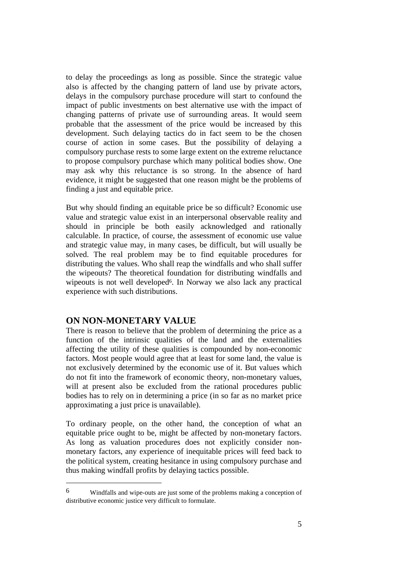to delay the proceedings as long as possible. Since the strategic value also is affected by the changing pattern of land use by private actors, delays in the compulsory purchase procedure will start to confound the impact of public investments on best alternative use with the impact of changing patterns of private use of surrounding areas. It would seem probable that the assessment of the price would be increased by this development. Such delaying tactics do in fact seem to be the chosen course of action in some cases. But the possibility of delaying a compulsory purchase rests to some large extent on the extreme reluctance to propose compulsory purchase which many political bodies show. One may ask why this reluctance is so strong. In the absence of hard evidence, it might be suggested that one reason might be the problems of finding a just and equitable price.

But why should finding an equitable price be so difficult? Economic use value and strategic value exist in an interpersonal observable reality and should in principle be both easily acknowledged and rationally calculable. In practice, of course, the assessment of economic use value and strategic value may, in many cases, be difficult, but will usually be solved. The real problem may be to find equitable procedures for distributing the values. Who shall reap the windfalls and who shall suffer the wipeouts? The theoretical foundation for distributing windfalls and wipeouts is not well developed<sup>6</sup>. In Norway we also lack any practical experience with such distributions.

#### **ON NON-MONETARY VALUE**

There is reason to believe that the problem of determining the price as a function of the intrinsic qualities of the land and the externalities affecting the utility of these qualities is compounded by non-economic factors. Most people would agree that at least for some land, the value is not exclusively determined by the economic use of it. But values which do not fit into the framework of economic theory, non-monetary values, will at present also be excluded from the rational procedures public bodies has to rely on in determining a price (in so far as no market price approximating a just price is unavailable).

To ordinary people, on the other hand, the conception of what an equitable price ought to be, might be affected by non-monetary factors. As long as valuation procedures does not explicitly consider nonmonetary factors, any experience of inequitable prices will feed back to the political system, creating hesitance in using compulsory purchase and thus making windfall profits by delaying tactics possible.

<sup>6</sup> Windfalls and wipe-outs are just some of the problems making a conception of distributive economic justice very difficult to formulate.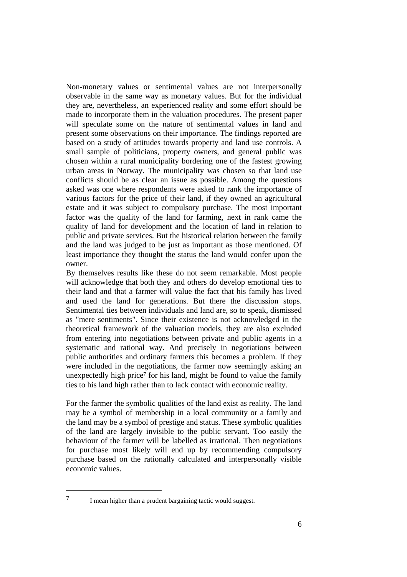Non-monetary values or sentimental values are not interpersonally observable in the same way as monetary values. But for the individual they are, nevertheless, an experienced reality and some effort should be made to incorporate them in the valuation procedures. The present paper will speculate some on the nature of sentimental values in land and present some observations on their importance. The findings reported are based on a study of attitudes towards property and land use controls. A small sample of politicians, property owners, and general public was chosen within a rural municipality bordering one of the fastest growing urban areas in Norway. The municipality was chosen so that land use conflicts should be as clear an issue as possible. Among the questions asked was one where respondents were asked to rank the importance of various factors for the price of their land, if they owned an agricultural estate and it was subject to compulsory purchase. The most important factor was the quality of the land for farming, next in rank came the quality of land for development and the location of land in relation to public and private services. But the historical relation between the family and the land was judged to be just as important as those mentioned. Of least importance they thought the status the land would confer upon the owner.

By themselves results like these do not seem remarkable. Most people will acknowledge that both they and others do develop emotional ties to their land and that a farmer will value the fact that his family has lived and used the land for generations. But there the discussion stops. Sentimental ties between individuals and land are, so to speak, dismissed as "mere sentiments". Since their existence is not acknowledged in the theoretical framework of the valuation models, they are also excluded from entering into negotiations between private and public agents in a systematic and rational way. And precisely in negotiations between public authorities and ordinary farmers this becomes a problem. If they were included in the negotiations, the farmer now seemingly asking an unexpectedly high price<sup>7</sup> for his land, might be found to value the family ties to his land high rather than to lack contact with economic reality.

For the farmer the symbolic qualities of the land exist as reality. The land may be a symbol of membership in a local community or a family and the land may be a symbol of prestige and status. These symbolic qualities of the land are largely invisible to the public servant. Too easily the behaviour of the farmer will be labelled as irrational. Then negotiations for purchase most likely will end up by recommending compulsory purchase based on the rationally calculated and interpersonally visible economic values.

<sup>7</sup> I mean higher than a prudent bargaining tactic would suggest.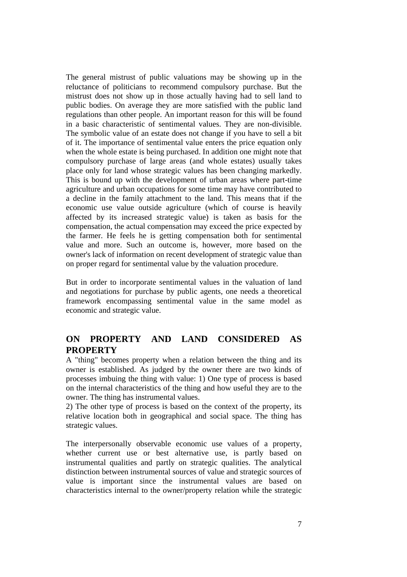The general mistrust of public valuations may be showing up in the reluctance of politicians to recommend compulsory purchase. But the mistrust does not show up in those actually having had to sell land to public bodies. On average they are more satisfied with the public land regulations than other people. An important reason for this will be found in a basic characteristic of sentimental values. They are non-divisible. The symbolic value of an estate does not change if you have to sell a bit of it. The importance of sentimental value enters the price equation only when the whole estate is being purchased. In addition one might note that compulsory purchase of large areas (and whole estates) usually takes place only for land whose strategic values has been changing markedly. This is bound up with the development of urban areas where part-time agriculture and urban occupations for some time may have contributed to a decline in the family attachment to the land. This means that if the economic use value outside agriculture (which of course is heavily affected by its increased strategic value) is taken as basis for the compensation, the actual compensation may exceed the price expected by the farmer. He feels he is getting compensation both for sentimental value and more. Such an outcome is, however, more based on the owner's lack of information on recent development of strategic value than on proper regard for sentimental value by the valuation procedure.

But in order to incorporate sentimental values in the valuation of land and negotiations for purchase by public agents, one needs a theoretical framework encompassing sentimental value in the same model as economic and strategic value.

### **ON PROPERTY AND LAND CONSIDERED AS PROPERTY**

A "thing" becomes property when a relation between the thing and its owner is established. As judged by the owner there are two kinds of processes imbuing the thing with value: 1) One type of process is based on the internal characteristics of the thing and how useful they are to the owner. The thing has instrumental values.

2) The other type of process is based on the context of the property, its relative location both in geographical and social space. The thing has strategic values.

The interpersonally observable economic use values of a property, whether current use or best alternative use, is partly based on instrumental qualities and partly on strategic qualities. The analytical distinction between instrumental sources of value and strategic sources of value is important since the instrumental values are based on characteristics internal to the owner/property relation while the strategic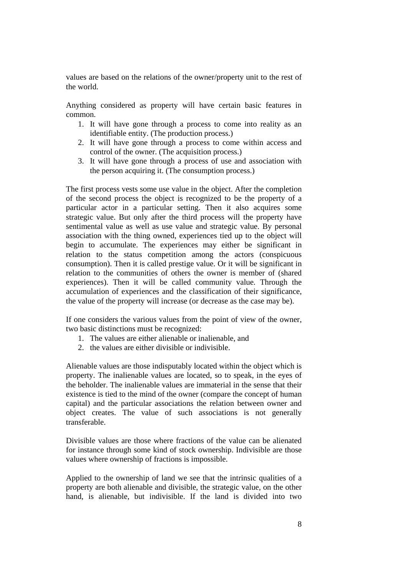values are based on the relations of the owner/property unit to the rest of the world.

Anything considered as property will have certain basic features in common.

- 1. It will have gone through a process to come into reality as an identifiable entity. (The production process.)
- 2. It will have gone through a process to come within access and control of the owner. (The acquisition process.)
- 3. It will have gone through a process of use and association with the person acquiring it. (The consumption process.)

The first process vests some use value in the object. After the completion of the second process the object is recognized to be the property of a particular actor in a particular setting. Then it also acquires some strategic value. But only after the third process will the property have sentimental value as well as use value and strategic value. By personal association with the thing owned, experiences tied up to the object will begin to accumulate. The experiences may either be significant in relation to the status competition among the actors (conspicuous consumption). Then it is called prestige value. Or it will be significant in relation to the communities of others the owner is member of (shared experiences). Then it will be called community value. Through the accumulation of experiences and the classification of their significance, the value of the property will increase (or decrease as the case may be).

If one considers the various values from the point of view of the owner, two basic distinctions must be recognized:

- 1. The values are either alienable or inalienable, and
- 2. the values are either divisible or indivisible.

Alienable values are those indisputably located within the object which is property. The inalienable values are located, so to speak, in the eyes of the beholder. The inalienable values are immaterial in the sense that their existence is tied to the mind of the owner (compare the concept of human capital) and the particular associations the relation between owner and object creates. The value of such associations is not generally transferable.

Divisible values are those where fractions of the value can be alienated for instance through some kind of stock ownership. Indivisible are those values where ownership of fractions is impossible.

Applied to the ownership of land we see that the intrinsic qualities of a property are both alienable and divisible, the strategic value, on the other hand, is alienable, but indivisible. If the land is divided into two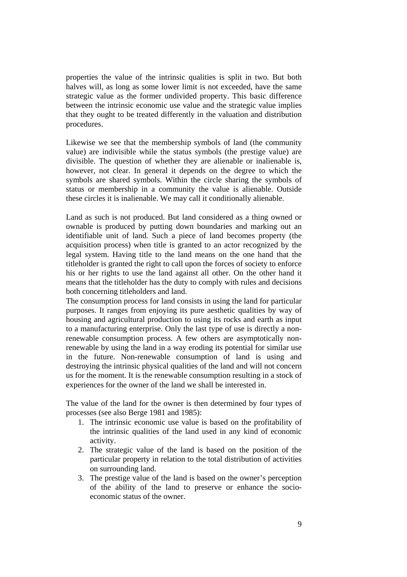properties the value of the intrinsic qualities is split in two. But both halves will, as long as some lower limit is not exceeded, have the same strategic value as the former undivided property. This basic difference between the intrinsic economic use value and the strategic value implies that they ought to be treated differently in the valuation and distribution procedures.

Likewise we see that the membership symbols of land (the community value) are indivisible while the status symbols (the prestige value) are divisible. The question of whether they are alienable or inalienable is, however, not clear. In general it depends on the degree to which the symbols are shared symbols. Within the circle sharing the symbols of status or membership in a community the value is alienable. Outside these circles it is inalienable. We may call it conditionally alienable.

Land as such is not produced. But land considered as a thing owned or ownable is produced by putting down boundaries and marking out an identifiable unit of land. Such a piece of land becomes property (the acquisition process) when title is granted to an actor recognized by the legal system. Having title to the land means on the one hand that the titleholder is granted the right to call upon the forces of society to enforce his or her rights to use the land against all other. On the other hand it means that the titleholder has the duty to comply with rules and decisions both concerning titleholders and land.

The consumption process for land consists in using the land for particular purposes. It ranges from enjoying its pure aesthetic qualities by way of housing and agricultural production to using its rocks and earth as input to a manufacturing enterprise. Only the last type of use is directly a nonrenewable consumption process. A few others are asymptotically nonrenewable by using the land in a way eroding its potential for similar use in the future. Non-renewable consumption of land is using and destroying the intrinsic physical qualities of the land and will not concern us for the moment. It is the renewable consumption resulting in a stock of experiences for the owner of the land we shall be interested in.

The value of the land for the owner is then determined by four types of processes (see also Berge 1981 and 1985):

- 1. The intrinsic economic use value is based on the profitability of the intrinsic qualities of the land used in any kind of economic activity.
- 2. The strategic value of the land is based on the position of the particular property in relation to the total distribution of activities on surrounding land.
- 3. The prestige value of the land is based on the owner's perception of the ability of the land to preserve or enhance the socioeconomic status of the owner.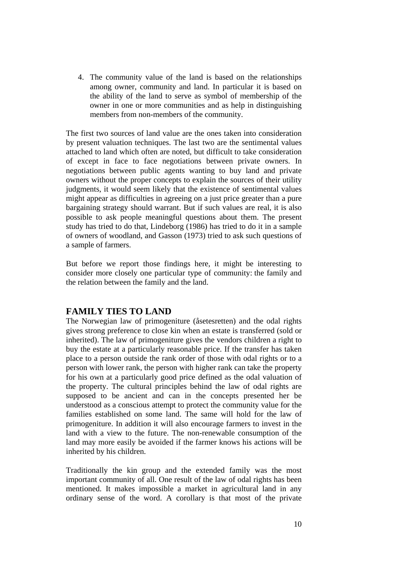4. The community value of the land is based on the relationships among owner, community and land. In particular it is based on the ability of the land to serve as symbol of membership of the owner in one or more communities and as help in distinguishing members from non-members of the community.

The first two sources of land value are the ones taken into consideration by present valuation techniques. The last two are the sentimental values attached to land which often are noted, but difficult to take consideration of except in face to face negotiations between private owners. In negotiations between public agents wanting to buy land and private owners without the proper concepts to explain the sources of their utility judgments, it would seem likely that the existence of sentimental values might appear as difficulties in agreeing on a just price greater than a pure bargaining strategy should warrant. But if such values are real, it is also possible to ask people meaningful questions about them. The present study has tried to do that, Lindeborg (1986) has tried to do it in a sample of owners of woodland, and Gasson (1973) tried to ask such questions of a sample of farmers.

But before we report those findings here, it might be interesting to consider more closely one particular type of community: the family and the relation between the family and the land.

### **FAMILY TIES TO LAND**

The Norwegian law of primogeniture (åsetesretten) and the odal rights gives strong preference to close kin when an estate is transferred (sold or inherited). The law of primogeniture gives the vendors children a right to buy the estate at a particularly reasonable price. If the transfer has taken place to a person outside the rank order of those with odal rights or to a person with lower rank, the person with higher rank can take the property for his own at a particularly good price defined as the odal valuation of the property. The cultural principles behind the law of odal rights are supposed to be ancient and can in the concepts presented her be understood as a conscious attempt to protect the community value for the families established on some land. The same will hold for the law of primogeniture. In addition it will also encourage farmers to invest in the land with a view to the future. The non-renewable consumption of the land may more easily be avoided if the farmer knows his actions will be inherited by his children.

Traditionally the kin group and the extended family was the most important community of all. One result of the law of odal rights has been mentioned. It makes impossible a market in agricultural land in any ordinary sense of the word. A corollary is that most of the private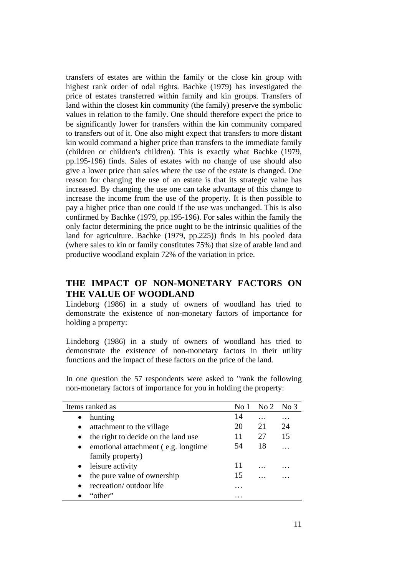transfers of estates are within the family or the close kin group with highest rank order of odal rights. Bachke (1979) has investigated the price of estates transferred within family and kin groups. Transfers of land within the closest kin community (the family) preserve the symbolic values in relation to the family. One should therefore expect the price to be significantly lower for transfers within the kin community compared to transfers out of it. One also might expect that transfers to more distant kin would command a higher price than transfers to the immediate family (children or children's children). This is exactly what Bachke (1979, pp.195-196) finds. Sales of estates with no change of use should also give a lower price than sales where the use of the estate is changed. One reason for changing the use of an estate is that its strategic value has increased. By changing the use one can take advantage of this change to increase the income from the use of the property. It is then possible to pay a higher price than one could if the use was unchanged. This is also confirmed by Bachke (1979, pp.195-196). For sales within the family the only factor determining the price ought to be the intrinsic qualities of the land for agriculture. Bachke (1979, pp.225)) finds in his pooled data (where sales to kin or family constitutes 75%) that size of arable land and productive woodland explain 72% of the variation in price.

### **THE IMPACT OF NON-MONETARY FACTORS ON THE VALUE OF WOODLAND**

Lindeborg (1986) in a study of owners of woodland has tried to demonstrate the existence of non-monetary factors of importance for holding a property:

Lindeborg (1986) in a study of owners of woodland has tried to demonstrate the existence of non-monetary factors in their utility functions and the impact of these factors on the price of the land.

| Items ranked as                      | No 1 | $\overline{N}$ $\overline{2}$ | No <sub>3</sub> |
|--------------------------------------|------|-------------------------------|-----------------|
| hunting                              | 14   | .                             | .               |
| attachment to the village            | 20   | 21                            | 24              |
| the right to decide on the land use  | 11   | 27                            | 15              |
| emotional attachment (e.g. longtime) | 54   | 18                            |                 |
| family property)                     |      |                               |                 |
| leisure activity                     | 11   | .                             |                 |
| the pure value of ownership          | 15   |                               |                 |
| recreation/outdoor life              | .    |                               |                 |
| "other"                              | .    |                               |                 |

In one question the 57 respondents were asked to "rank the following non-monetary factors of importance for you in holding the property: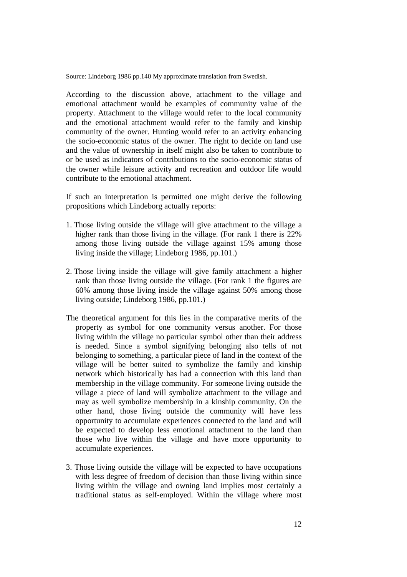Source: Lindeborg 1986 pp.140 My approximate translation from Swedish.

According to the discussion above, attachment to the village and emotional attachment would be examples of community value of the property. Attachment to the village would refer to the local community and the emotional attachment would refer to the family and kinship community of the owner. Hunting would refer to an activity enhancing the socio-economic status of the owner. The right to decide on land use and the value of ownership in itself might also be taken to contribute to or be used as indicators of contributions to the socio-economic status of the owner while leisure activity and recreation and outdoor life would contribute to the emotional attachment.

If such an interpretation is permitted one might derive the following propositions which Lindeborg actually reports:

- 1. Those living outside the village will give attachment to the village a higher rank than those living in the village. (For rank 1 there is 22% among those living outside the village against 15% among those living inside the village; Lindeborg 1986, pp.101.)
- 2. Those living inside the village will give family attachment a higher rank than those living outside the village. (For rank 1 the figures are 60% among those living inside the village against 50% among those living outside; Lindeborg 1986, pp.101.)
- The theoretical argument for this lies in the comparative merits of the property as symbol for one community versus another. For those living within the village no particular symbol other than their address is needed. Since a symbol signifying belonging also tells of not belonging to something, a particular piece of land in the context of the village will be better suited to symbolize the family and kinship network which historically has had a connection with this land than membership in the village community. For someone living outside the village a piece of land will symbolize attachment to the village and may as well symbolize membership in a kinship community. On the other hand, those living outside the community will have less opportunity to accumulate experiences connected to the land and will be expected to develop less emotional attachment to the land than those who live within the village and have more opportunity to accumulate experiences.
- 3. Those living outside the village will be expected to have occupations with less degree of freedom of decision than those living within since living within the village and owning land implies most certainly a traditional status as self-employed. Within the village where most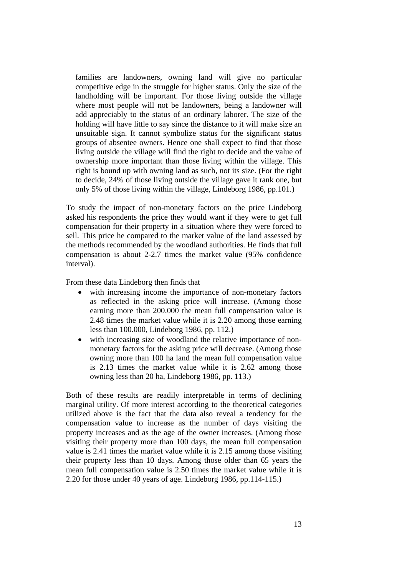families are landowners, owning land will give no particular competitive edge in the struggle for higher status. Only the size of the landholding will be important. For those living outside the village where most people will not be landowners, being a landowner will add appreciably to the status of an ordinary laborer. The size of the holding will have little to say since the distance to it will make size an unsuitable sign. It cannot symbolize status for the significant status groups of absentee owners. Hence one shall expect to find that those living outside the village will find the right to decide and the value of ownership more important than those living within the village. This right is bound up with owning land as such, not its size. (For the right to decide, 24% of those living outside the village gave it rank one, but only 5% of those living within the village, Lindeborg 1986, pp.101.)

To study the impact of non-monetary factors on the price Lindeborg asked his respondents the price they would want if they were to get full compensation for their property in a situation where they were forced to sell. This price he compared to the market value of the land assessed by the methods recommended by the woodland authorities. He finds that full compensation is about 2-2.7 times the market value (95% confidence interval).

From these data Lindeborg then finds that

- with increasing income the importance of non-monetary factors as reflected in the asking price will increase. (Among those earning more than 200.000 the mean full compensation value is 2.48 times the market value while it is 2.20 among those earning less than 100.000, Lindeborg 1986, pp. 112.)
- with increasing size of woodland the relative importance of nonmonetary factors for the asking price will decrease. (Among those owning more than 100 ha land the mean full compensation value is 2.13 times the market value while it is 2.62 among those owning less than 20 ha, Lindeborg 1986, pp. 113.)

Both of these results are readily interpretable in terms of declining marginal utility. Of more interest according to the theoretical categories utilized above is the fact that the data also reveal a tendency for the compensation value to increase as the number of days visiting the property increases and as the age of the owner increases. (Among those visiting their property more than 100 days, the mean full compensation value is 2.41 times the market value while it is 2.15 among those visiting their property less than 10 days. Among those older than 65 years the mean full compensation value is 2.50 times the market value while it is 2.20 for those under 40 years of age. Lindeborg 1986, pp.114-115.)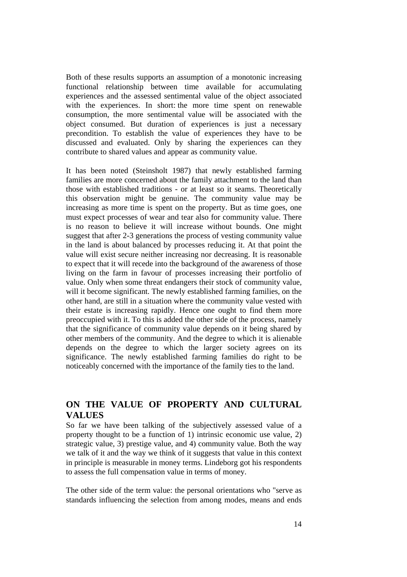Both of these results supports an assumption of a monotonic increasing functional relationship between time available for accumulating experiences and the assessed sentimental value of the object associated with the experiences. In short: the more time spent on renewable consumption, the more sentimental value will be associated with the object consumed. But duration of experiences is just a necessary precondition. To establish the value of experiences they have to be discussed and evaluated. Only by sharing the experiences can they contribute to shared values and appear as community value.

It has been noted (Steinsholt 1987) that newly established farming families are more concerned about the family attachment to the land than those with established traditions - or at least so it seams. Theoretically this observation might be genuine. The community value may be increasing as more time is spent on the property. But as time goes, one must expect processes of wear and tear also for community value. There is no reason to believe it will increase without bounds. One might suggest that after 2-3 generations the process of vesting community value in the land is about balanced by processes reducing it. At that point the value will exist secure neither increasing nor decreasing. It is reasonable to expect that it will recede into the background of the awareness of those living on the farm in favour of processes increasing their portfolio of value. Only when some threat endangers their stock of community value, will it become significant. The newly established farming families, on the other hand, are still in a situation where the community value vested with their estate is increasing rapidly. Hence one ought to find them more preoccupied with it. To this is added the other side of the process, namely that the significance of community value depends on it being shared by other members of the community. And the degree to which it is alienable depends on the degree to which the larger society agrees on its significance. The newly established farming families do right to be noticeably concerned with the importance of the family ties to the land.

### **ON THE VALUE OF PROPERTY AND CULTURAL VALUES**

So far we have been talking of the subjectively assessed value of a property thought to be a function of 1) intrinsic economic use value, 2) strategic value, 3) prestige value, and 4) community value. Both the way we talk of it and the way we think of it suggests that value in this context in principle is measurable in money terms. Lindeborg got his respondents to assess the full compensation value in terms of money.

The other side of the term value: the personal orientations who "serve as standards influencing the selection from among modes, means and ends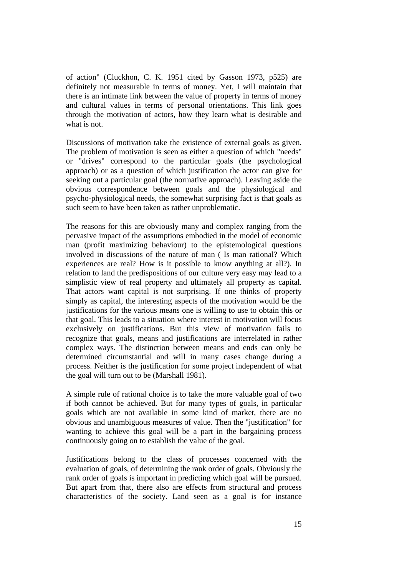of action" (Cluckhon, C. K. 1951 cited by Gasson 1973, p525) are definitely not measurable in terms of money. Yet, I will maintain that there is an intimate link between the value of property in terms of money and cultural values in terms of personal orientations. This link goes through the motivation of actors, how they learn what is desirable and what is not.

Discussions of motivation take the existence of external goals as given. The problem of motivation is seen as either a question of which "needs" or "drives" correspond to the particular goals (the psychological approach) or as a question of which justification the actor can give for seeking out a particular goal (the normative approach). Leaving aside the obvious correspondence between goals and the physiological and psycho-physiological needs, the somewhat surprising fact is that goals as such seem to have been taken as rather unproblematic.

The reasons for this are obviously many and complex ranging from the pervasive impact of the assumptions embodied in the model of economic man (profit maximizing behaviour) to the epistemological questions involved in discussions of the nature of man ( Is man rational? Which experiences are real? How is it possible to know anything at all?). In relation to land the predispositions of our culture very easy may lead to a simplistic view of real property and ultimately all property as capital. That actors want capital is not surprising. If one thinks of property simply as capital, the interesting aspects of the motivation would be the justifications for the various means one is willing to use to obtain this or that goal. This leads to a situation where interest in motivation will focus exclusively on justifications. But this view of motivation fails to recognize that goals, means and justifications are interrelated in rather complex ways. The distinction between means and ends can only be determined circumstantial and will in many cases change during a process. Neither is the justification for some project independent of what the goal will turn out to be (Marshall 1981).

A simple rule of rational choice is to take the more valuable goal of two if both cannot be achieved. But for many types of goals, in particular goals which are not available in some kind of market, there are no obvious and unambiguous measures of value. Then the "justification" for wanting to achieve this goal will be a part in the bargaining process continuously going on to establish the value of the goal.

Justifications belong to the class of processes concerned with the evaluation of goals, of determining the rank order of goals. Obviously the rank order of goals is important in predicting which goal will be pursued. But apart from that, there also are effects from structural and process characteristics of the society. Land seen as a goal is for instance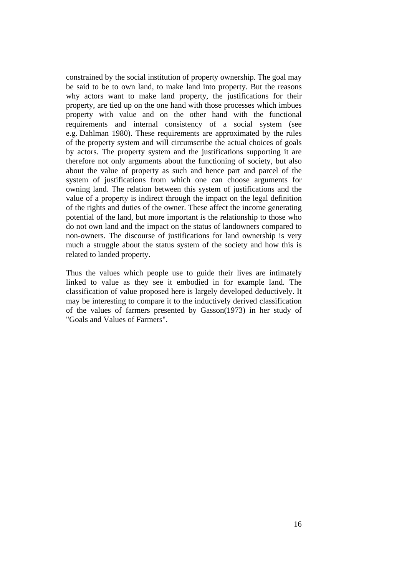constrained by the social institution of property ownership. The goal may be said to be to own land, to make land into property. But the reasons why actors want to make land property, the justifications for their property, are tied up on the one hand with those processes which imbues property with value and on the other hand with the functional requirements and internal consistency of a social system (see e.g. Dahlman 1980). These requirements are approximated by the rules of the property system and will circumscribe the actual choices of goals by actors. The property system and the justifications supporting it are therefore not only arguments about the functioning of society, but also about the value of property as such and hence part and parcel of the system of justifications from which one can choose arguments for owning land. The relation between this system of justifications and the value of a property is indirect through the impact on the legal definition of the rights and duties of the owner. These affect the income generating potential of the land, but more important is the relationship to those who do not own land and the impact on the status of landowners compared to non-owners. The discourse of justifications for land ownership is very much a struggle about the status system of the society and how this is related to landed property.

Thus the values which people use to guide their lives are intimately linked to value as they see it embodied in for example land. The classification of value proposed here is largely developed deductively. It may be interesting to compare it to the inductively derived classification of the values of farmers presented by Gasson(1973) in her study of "Goals and Values of Farmers".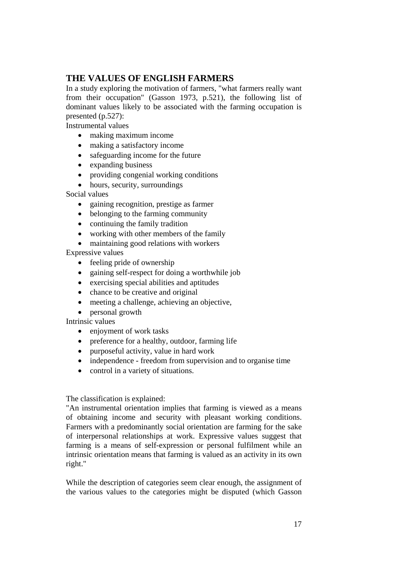### **THE VALUES OF ENGLISH FARMERS**

In a study exploring the motivation of farmers, "what farmers really want from their occupation" (Gasson 1973, p.521), the following list of dominant values likely to be associated with the farming occupation is presented (p.527):

Instrumental values

- making maximum income
- making a satisfactory income
- safeguarding income for the future
- expanding business
- providing congenial working conditions
- hours, security, surroundings

Social values

- gaining recognition, prestige as farmer
- belonging to the farming community
- continuing the family tradition
- working with other members of the family
- maintaining good relations with workers

Expressive values

- feeling pride of ownership
- gaining self-respect for doing a worthwhile job
- exercising special abilities and aptitudes
- chance to be creative and original
- meeting a challenge, achieving an objective,
- personal growth

Intrinsic values

- enjoyment of work tasks
- preference for a healthy, outdoor, farming life
- purposeful activity, value in hard work
- independence freedom from supervision and to organise time
- control in a variety of situations.

#### The classification is explained:

"An instrumental orientation implies that farming is viewed as a means of obtaining income and security with pleasant working conditions. Farmers with a predominantly social orientation are farming for the sake of interpersonal relationships at work. Expressive values suggest that farming is a means of self-expression or personal fulfilment while an intrinsic orientation means that farming is valued as an activity in its own right."

While the description of categories seem clear enough, the assignment of the various values to the categories might be disputed (which Gasson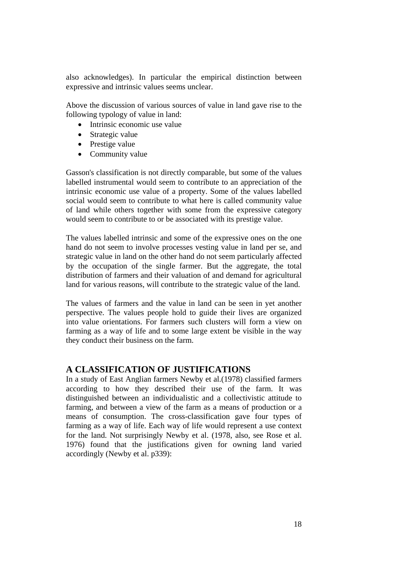also acknowledges). In particular the empirical distinction between expressive and intrinsic values seems unclear.

Above the discussion of various sources of value in land gave rise to the following typology of value in land:

- Intrinsic economic use value
- Strategic value
- Prestige value
- Community value

Gasson's classification is not directly comparable, but some of the values labelled instrumental would seem to contribute to an appreciation of the intrinsic economic use value of a property. Some of the values labelled social would seem to contribute to what here is called community value of land while others together with some from the expressive category would seem to contribute to or be associated with its prestige value.

The values labelled intrinsic and some of the expressive ones on the one hand do not seem to involve processes vesting value in land per se, and strategic value in land on the other hand do not seem particularly affected by the occupation of the single farmer. But the aggregate, the total distribution of farmers and their valuation of and demand for agricultural land for various reasons, will contribute to the strategic value of the land.

The values of farmers and the value in land can be seen in yet another perspective. The values people hold to guide their lives are organized into value orientations. For farmers such clusters will form a view on farming as a way of life and to some large extent be visible in the way they conduct their business on the farm.

### **A CLASSIFICATION OF JUSTIFICATIONS**

In a study of East Anglian farmers Newby et al.(1978) classified farmers according to how they described their use of the farm. It was distinguished between an individualistic and a collectivistic attitude to farming, and between a view of the farm as a means of production or a means of consumption. The cross-classification gave four types of farming as a way of life. Each way of life would represent a use context for the land. Not surprisingly Newby et al. (1978, also, see Rose et al. 1976) found that the justifications given for owning land varied accordingly (Newby et al. p339):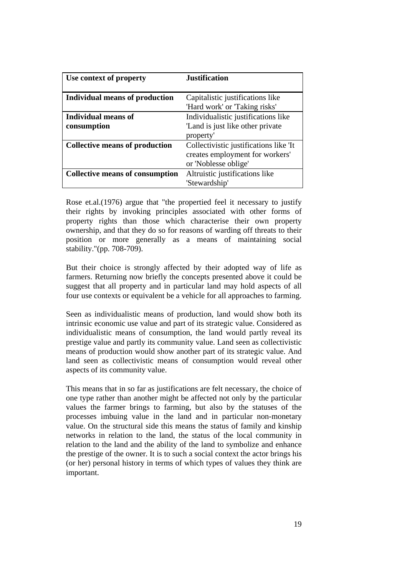| Use context of property                | <b>Justification</b>                   |
|----------------------------------------|----------------------------------------|
|                                        |                                        |
| <b>Individual means of production</b>  | Capitalistic justifications like       |
|                                        | 'Hard work' or 'Taking risks'          |
| Individual means of                    | Individualistic justifications like    |
| consumption                            | 'Land is just like other private       |
|                                        | property'                              |
| <b>Collective means of production</b>  | Collectivistic justifications like 'It |
|                                        | creates employment for workers'        |
|                                        | or 'Noblesse oblige'                   |
| <b>Collective means of consumption</b> | Altruistic justifications like         |
|                                        | 'Stewardship'                          |

Rose et.al.(1976) argue that "the propertied feel it necessary to justify their rights by invoking principles associated with other forms of property rights than those which characterise their own property ownership, and that they do so for reasons of warding off threats to their position or more generally as a means of maintaining social stability."(pp. 708-709).

But their choice is strongly affected by their adopted way of life as farmers. Returning now briefly the concepts presented above it could be suggest that all property and in particular land may hold aspects of all four use contexts or equivalent be a vehicle for all approaches to farming.

Seen as individualistic means of production, land would show both its intrinsic economic use value and part of its strategic value. Considered as individualistic means of consumption, the land would partly reveal its prestige value and partly its community value. Land seen as collectivistic means of production would show another part of its strategic value. And land seen as collectivistic means of consumption would reveal other aspects of its community value.

This means that in so far as justifications are felt necessary, the choice of one type rather than another might be affected not only by the particular values the farmer brings to farming, but also by the statuses of the processes imbuing value in the land and in particular non-monetary value. On the structural side this means the status of family and kinship networks in relation to the land, the status of the local community in relation to the land and the ability of the land to symbolize and enhance the prestige of the owner. It is to such a social context the actor brings his (or her) personal history in terms of which types of values they think are important.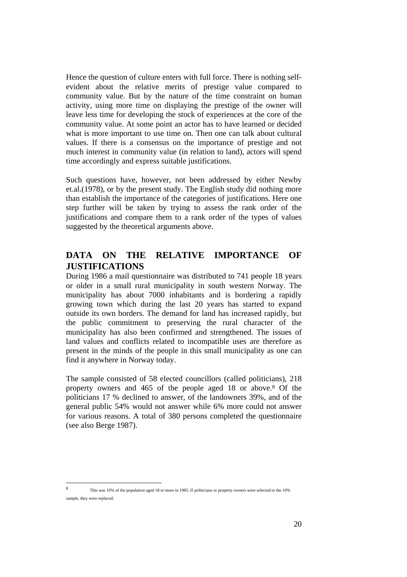Hence the question of culture enters with full force. There is nothing selfevident about the relative merits of prestige value compared to community value. But by the nature of the time constraint on human activity, using more time on displaying the prestige of the owner will leave less time for developing the stock of experiences at the core of the community value. At some point an actor has to have learned or decided what is more important to use time on. Then one can talk about cultural values. If there is a consensus on the importance of prestige and not much interest in community value (in relation to land), actors will spend time accordingly and express suitable justifications.

Such questions have, however, not been addressed by either Newby et.al.(1978), or by the present study. The English study did nothing more than establish the importance of the categories of justifications. Here one step further will be taken by trying to assess the rank order of the justifications and compare them to a rank order of the types of values suggested by the theoretical arguments above.

### **DATA ON THE RELATIVE IMPORTANCE OF JUSTIFICATIONS**

During 1986 a mail questionnaire was distributed to 741 people 18 years or older in a small rural municipality in south western Norway. The municipality has about 7000 inhabitants and is bordering a rapidly growing town which during the last 20 years has started to expand outside its own borders. The demand for land has increased rapidly, but the public commitment to preserving the rural character of the municipality has also been confirmed and strengthened. The issues of land values and conflicts related to incompatible uses are therefore as present in the minds of the people in this small municipality as one can find it anywhere in Norway today.

The sample consisted of 58 elected councillors (called politicians), 218 property owners and 465 of the people aged 18 or above.8 Of the politicians 17 % declined to answer, of the landowners 39%, and of the general public 54% would not answer while 6% more could not answer for various reasons. A total of 380 persons completed the questionnaire (see also Berge 1987).

This was 10% of the population aged 18 or more in 1985. If politicians or property owners were selected to the 10% sample, they were replaced.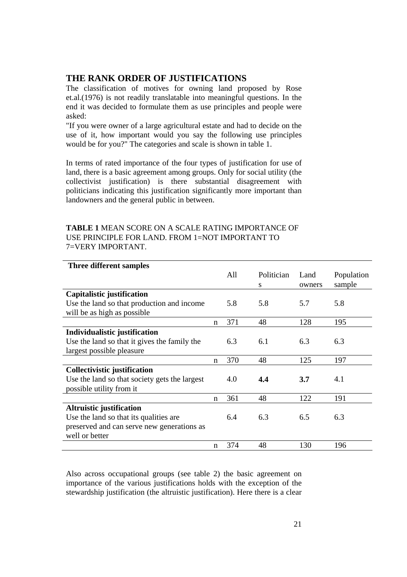### **THE RANK ORDER OF JUSTIFICATIONS**

The classification of motives for owning land proposed by Rose et.al.(1976) is not readily translatable into meaningful questions. In the end it was decided to formulate them as use principles and people were asked:

"If you were owner of a large agricultural estate and had to decide on the use of it, how important would you say the following use principles would be for you?" The categories and scale is shown in table 1.

In terms of rated importance of the four types of justification for use of land, there is a basic agreement among groups. Only for social utility (the collectivist justification) is there substantial disagreement with politicians indicating this justification significantly more important than landowners and the general public in between.

| <b>TABLE 1 MEAN SCORE ON A SCALE RATING IMPORTANCE OF</b> |
|-----------------------------------------------------------|
| USE PRINCIPLE FOR LAND. FROM 1=NOT IMPORTANT TO           |
| 7=VERY IMPORTANT.                                         |

| Three different samples                       |   |     |            |        |            |
|-----------------------------------------------|---|-----|------------|--------|------------|
|                                               |   | All | Politician | Land   | Population |
|                                               |   |     | S          | owners | sample     |
| Capitalistic justification                    |   |     |            |        |            |
| Use the land so that production and income    |   | 5.8 | 5.8        | 5.7    | 5.8        |
| will be as high as possible                   |   |     |            |        |            |
|                                               | n | 371 | 48         | 128    | 195        |
| Individualistic justification                 |   |     |            |        |            |
| Use the land so that it gives the family the  |   | 6.3 | 6.1        | 6.3    | 6.3        |
| largest possible pleasure                     |   |     |            |        |            |
|                                               | n | 370 | 48         | 125    | 197        |
| Collectivistic justification                  |   |     |            |        |            |
| Use the land so that society gets the largest |   | 4.0 | 4.4        | 3.7    | 4.1        |
| possible utility from it                      |   |     |            |        |            |
|                                               | n | 361 | 48         | 122    | 191        |
| Altruistic justification                      |   |     |            |        |            |
| Use the land so that its qualities are        |   | 6.4 | 6.3        | 6.5    | 6.3        |
| preserved and can serve new generations as    |   |     |            |        |            |
| well or better                                |   |     |            |        |            |
|                                               | n | 374 | 48         | 130    | 196        |

Also across occupational groups (see table 2) the basic agreement on importance of the various justifications holds with the exception of the stewardship justification (the altruistic justification). Here there is a clear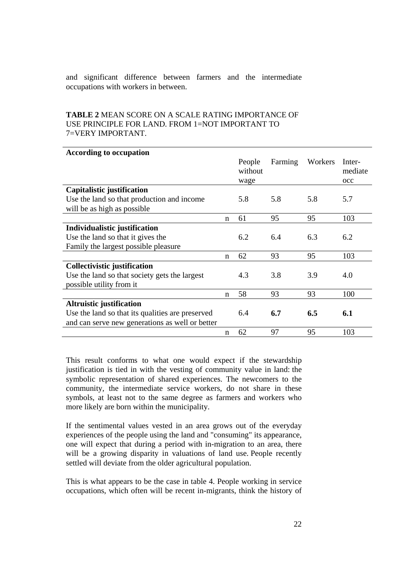and significant difference between farmers and the intermediate occupations with workers in between.

### **TABLE 2** MEAN SCORE ON A SCALE RATING IMPORTANCE OF USE PRINCIPLE FOR LAND. FROM 1=NOT IMPORTANT TO 7=VERY IMPORTANT.

| <b>According to occupation</b>                   |             |                           |         |         |                          |
|--------------------------------------------------|-------------|---------------------------|---------|---------|--------------------------|
|                                                  |             | People<br>without<br>wage | Farming | Workers | Inter-<br>mediate<br>occ |
| Capitalistic justification                       |             |                           |         |         |                          |
| Use the land so that production and income       |             | 5.8                       | 5.8     | 5.8     | 5.7                      |
| will be as high as possible                      |             |                           |         |         |                          |
|                                                  | $\mathbf n$ | 61                        | 95      | 95      | 103                      |
| Individualistic justification                    |             |                           |         |         |                          |
| Use the land so that it gives the                |             | 6.2                       | 6.4     | 6.3     | 6.2                      |
| Family the largest possible pleasure             |             |                           |         |         |                          |
|                                                  | $\mathbf n$ | 62                        | 93      | 95      | 103                      |
| Collectivistic justification                     |             |                           |         |         |                          |
| Use the land so that society gets the largest    |             | 4.3                       | 3.8     | 3.9     | 4.0                      |
| possible utility from it                         |             |                           |         |         |                          |
|                                                  | n           | 58                        | 93      | 93      | 100                      |
| <b>Altruistic justification</b>                  |             |                           |         |         |                          |
| Use the land so that its qualities are preserved |             | 6.4                       | 6.7     | 6.5     | 6.1                      |
| and can serve new generations as well or better  |             |                           |         |         |                          |
|                                                  | $\mathbf n$ | 62                        | 97      | 95      | 103                      |

This result conforms to what one would expect if the stewardship justification is tied in with the vesting of community value in land: the symbolic representation of shared experiences. The newcomers to the community, the intermediate service workers, do not share in these symbols, at least not to the same degree as farmers and workers who more likely are born within the municipality.

If the sentimental values vested in an area grows out of the everyday experiences of the people using the land and "consuming" its appearance, one will expect that during a period with in-migration to an area, there will be a growing disparity in valuations of land use. People recently settled will deviate from the older agricultural population.

This is what appears to be the case in table 4. People working in service occupations, which often will be recent in-migrants, think the history of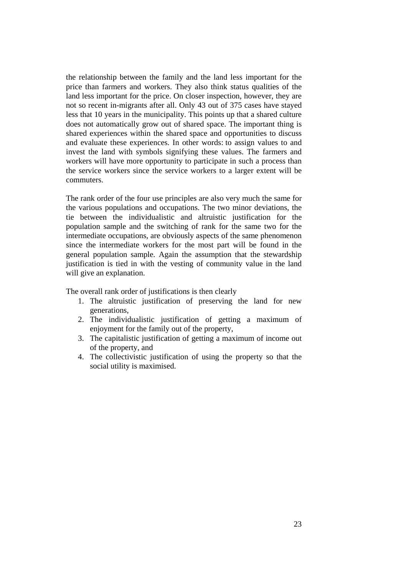the relationship between the family and the land less important for the price than farmers and workers. They also think status qualities of the land less important for the price. On closer inspection, however, they are not so recent in-migrants after all. Only 43 out of 375 cases have stayed less that 10 years in the municipality. This points up that a shared culture does not automatically grow out of shared space. The important thing is shared experiences within the shared space and opportunities to discuss and evaluate these experiences. In other words: to assign values to and invest the land with symbols signifying these values. The farmers and workers will have more opportunity to participate in such a process than the service workers since the service workers to a larger extent will be commuters.

The rank order of the four use principles are also very much the same for the various populations and occupations. The two minor deviations, the tie between the individualistic and altruistic justification for the population sample and the switching of rank for the same two for the intermediate occupations, are obviously aspects of the same phenomenon since the intermediate workers for the most part will be found in the general population sample. Again the assumption that the stewardship justification is tied in with the vesting of community value in the land will give an explanation.

The overall rank order of justifications is then clearly

- 1. The altruistic justification of preserving the land for new generations,
- 2. The individualistic justification of getting a maximum of enjoyment for the family out of the property,
- 3. The capitalistic justification of getting a maximum of income out of the property, and
- 4. The collectivistic justification of using the property so that the social utility is maximised.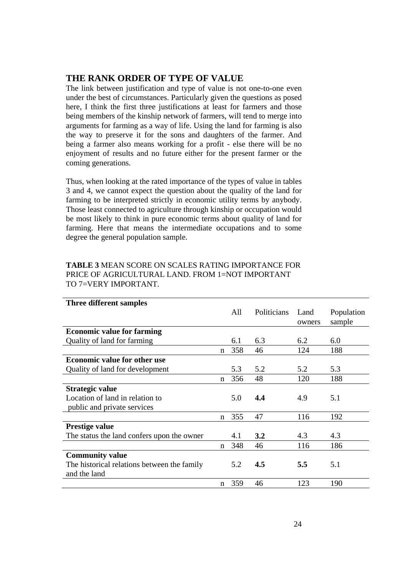### **THE RANK ORDER OF TYPE OF VALUE**

The link between justification and type of value is not one-to-one even under the best of circumstances. Particularly given the questions as posed here, I think the first three justifications at least for farmers and those being members of the kinship network of farmers, will tend to merge into arguments for farming as a way of life. Using the land for farming is also the way to preserve it for the sons and daughters of the farmer. And being a farmer also means working for a profit - else there will be no enjoyment of results and no future either for the present farmer or the coming generations.

Thus, when looking at the rated importance of the types of value in tables 3 and 4, we cannot expect the question about the quality of the land for farming to be interpreted strictly in economic utility terms by anybody. Those least connected to agriculture through kinship or occupation would be most likely to think in pure economic terms about quality of land for farming. Here that means the intermediate occupations and to some degree the general population sample.

| Three different samples                     |             |     |             |        |            |
|---------------------------------------------|-------------|-----|-------------|--------|------------|
|                                             |             | All | Politicians | Land   | Population |
|                                             |             |     |             | owners | sample     |
| <b>Economic value for farming</b>           |             |     |             |        |            |
| Quality of land for farming                 |             | 6.1 | 6.3         | 6.2    | 6.0        |
|                                             | $\mathbf n$ | 358 | 46          | 124    | 188        |
| <b>Economic value for other use</b>         |             |     |             |        |            |
| Quality of land for development             |             | 5.3 | 5.2         | 5.2    | 5.3        |
|                                             | $\mathbf n$ | 356 | 48          | 120    | 188        |
| Strategic value                             |             |     |             |        |            |
| Location of land in relation to             |             | 5.0 | 4.4         | 4.9    | 5.1        |
| public and private services                 |             |     |             |        |            |
|                                             | $\mathbf n$ | 355 | 47          | 116    | 192        |
| <b>Prestige value</b>                       |             |     |             |        |            |
| The status the land confers upon the owner  |             | 4.1 | 3.2         | 4.3    | 4.3        |
|                                             | $\mathbf n$ | 348 | 46          | 116    | 186        |
| <b>Community value</b>                      |             |     |             |        |            |
| The historical relations between the family |             | 5.2 | 4.5         | 5.5    | 5.1        |
| and the land                                |             |     |             |        |            |
|                                             | $\mathbf n$ | 359 | 46          | 123    | 190        |

### **TABLE 3** MEAN SCORE ON SCALES RATING IMPORTANCE FOR PRICE OF AGRICULTURAL LAND. FROM 1=NOT IMPORTANT TO 7=VERY IMPORTANT.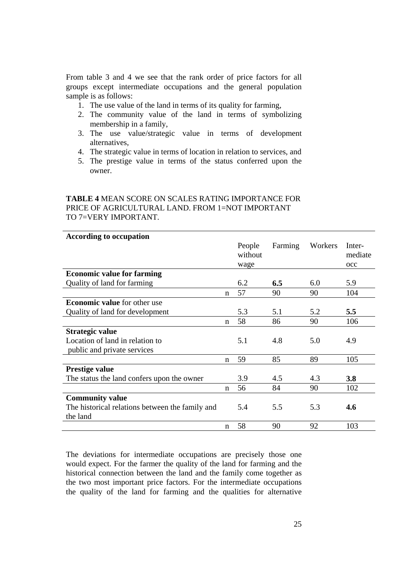From table 3 and 4 we see that the rank order of price factors for all groups except intermediate occupations and the general population sample is as follows:

- 1. The use value of the land in terms of its quality for farming,
- 2. The community value of the land in terms of symbolizing membership in a family,
- 3. The use value/strategic value in terms of development alternatives,
- 4. The strategic value in terms of location in relation to services, and
- 5. The prestige value in terms of the status conferred upon the owner.

### **TABLE 4** MEAN SCORE ON SCALES RATING IMPORTANCE FOR PRICE OF AGRICULTURAL LAND. FROM 1=NOT IMPORTANT TO 7=VERY IMPORTANT.

| <b>According to occupation</b>                  |             |                           |         |         |                                   |
|-------------------------------------------------|-------------|---------------------------|---------|---------|-----------------------------------|
|                                                 |             | People<br>without<br>wage | Farming | Workers | Inter-<br>mediate<br>$_{\rm occ}$ |
| <b>Economic value for farming</b>               |             |                           |         |         |                                   |
| Quality of land for farming                     |             | 6.2                       | 6.5     | 6.0     | 5.9                               |
|                                                 | n           | 57                        | 90      | 90      | 104                               |
| <b>Economic value</b> for other use             |             |                           |         |         |                                   |
| Quality of land for development                 |             | 5.3                       | 5.1     | 5.2     | 5.5                               |
|                                                 | n           | 58                        | 86      | 90      | 106                               |
| Strategic value                                 |             |                           |         |         |                                   |
| Location of land in relation to                 |             | 5.1                       | 4.8     | 5.0     | 4.9                               |
| public and private services                     |             |                           |         |         |                                   |
|                                                 | $\mathbf n$ | 59                        | 85      | 89      | 105                               |
| Prestige value                                  |             |                           |         |         |                                   |
| The status the land confers upon the owner      |             | 3.9                       | 4.5     | 4.3     | 3.8                               |
|                                                 | n           | 56                        | 84      | 90      | 102                               |
| <b>Community value</b>                          |             |                           |         |         |                                   |
| The historical relations between the family and |             | 5.4                       | 5.5     | 5.3     | 4.6                               |
| the land                                        |             |                           |         |         |                                   |
|                                                 | n           | 58                        | 90      | 92      | 103                               |

The deviations for intermediate occupations are precisely those one would expect. For the farmer the quality of the land for farming and the historical connection between the land and the family come together as the two most important price factors. For the intermediate occupations the quality of the land for farming and the qualities for alternative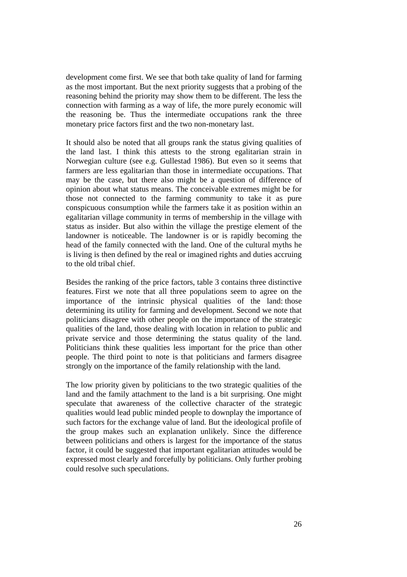development come first. We see that both take quality of land for farming as the most important. But the next priority suggests that a probing of the reasoning behind the priority may show them to be different. The less the connection with farming as a way of life, the more purely economic will the reasoning be. Thus the intermediate occupations rank the three monetary price factors first and the two non-monetary last.

It should also be noted that all groups rank the status giving qualities of the land last. I think this attests to the strong egalitarian strain in Norwegian culture (see e.g. Gullestad 1986). But even so it seems that farmers are less egalitarian than those in intermediate occupations. That may be the case, but there also might be a question of difference of opinion about what status means. The conceivable extremes might be for those not connected to the farming community to take it as pure conspicuous consumption while the farmers take it as position within an egalitarian village community in terms of membership in the village with status as insider. But also within the village the prestige element of the landowner is noticeable. The landowner is or is rapidly becoming the head of the family connected with the land. One of the cultural myths he is living is then defined by the real or imagined rights and duties accruing to the old tribal chief.

Besides the ranking of the price factors, table 3 contains three distinctive features. First we note that all three populations seem to agree on the importance of the intrinsic physical qualities of the land: those determining its utility for farming and development. Second we note that politicians disagree with other people on the importance of the strategic qualities of the land, those dealing with location in relation to public and private service and those determining the status quality of the land. Politicians think these qualities less important for the price than other people. The third point to note is that politicians and farmers disagree strongly on the importance of the family relationship with the land.

The low priority given by politicians to the two strategic qualities of the land and the family attachment to the land is a bit surprising. One might speculate that awareness of the collective character of the strategic qualities would lead public minded people to downplay the importance of such factors for the exchange value of land. But the ideological profile of the group makes such an explanation unlikely. Since the difference between politicians and others is largest for the importance of the status factor, it could be suggested that important egalitarian attitudes would be expressed most clearly and forcefully by politicians. Only further probing could resolve such speculations.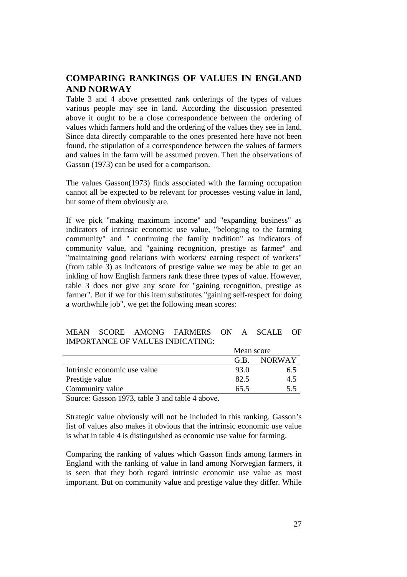### **COMPARING RANKINGS OF VALUES IN ENGLAND AND NORWAY**

Table 3 and 4 above presented rank orderings of the types of values various people may see in land. According the discussion presented above it ought to be a close correspondence between the ordering of values which farmers hold and the ordering of the values they see in land. Since data directly comparable to the ones presented here have not been found, the stipulation of a correspondence between the values of farmers and values in the farm will be assumed proven. Then the observations of Gasson (1973) can be used for a comparison.

The values Gasson(1973) finds associated with the farming occupation cannot all be expected to be relevant for processes vesting value in land, but some of them obviously are.

If we pick "making maximum income" and "expanding business" as indicators of intrinsic economic use value, "belonging to the farming community" and " continuing the family tradition" as indicators of community value, and "gaining recognition, prestige as farmer" and "maintaining good relations with workers/ earning respect of workers" (from table 3) as indicators of prestige value we may be able to get an inkling of how English farmers rank these three types of value. However, table 3 does not give any score for "gaining recognition, prestige as farmer". But if we for this item substitutes "gaining self-respect for doing a worthwhile job", we get the following mean scores:

|  | MEAN SCORE AMONG FARMERS ON A SCALE OF |  |  |
|--|----------------------------------------|--|--|
|  | IMPORTANCE OF VALUES INDICATING:       |  |  |

|                              | Mean score |               |  |
|------------------------------|------------|---------------|--|
|                              | G.B.       | <b>NORWAY</b> |  |
| Intrinsic economic use value | 93.0       | 6.5           |  |
| Prestige value               | 82.5       | 4.5           |  |
| Community value              | 65.5       | 5.5           |  |
|                              |            |               |  |

Source: Gasson 1973, table 3 and table 4 above.

Strategic value obviously will not be included in this ranking. Gasson's list of values also makes it obvious that the intrinsic economic use value is what in table 4 is distinguished as economic use value for farming.

Comparing the ranking of values which Gasson finds among farmers in England with the ranking of value in land among Norwegian farmers, it is seen that they both regard intrinsic economic use value as most important. But on community value and prestige value they differ. While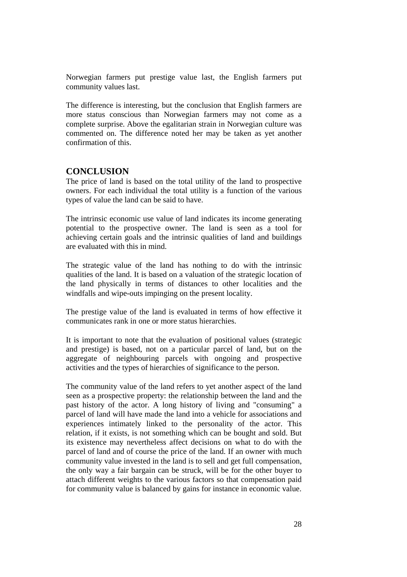Norwegian farmers put prestige value last, the English farmers put community values last.

The difference is interesting, but the conclusion that English farmers are more status conscious than Norwegian farmers may not come as a complete surprise. Above the egalitarian strain in Norwegian culture was commented on. The difference noted her may be taken as yet another confirmation of this.

#### **CONCLUSION**

The price of land is based on the total utility of the land to prospective owners. For each individual the total utility is a function of the various types of value the land can be said to have.

The intrinsic economic use value of land indicates its income generating potential to the prospective owner. The land is seen as a tool for achieving certain goals and the intrinsic qualities of land and buildings are evaluated with this in mind.

The strategic value of the land has nothing to do with the intrinsic qualities of the land. It is based on a valuation of the strategic location of the land physically in terms of distances to other localities and the windfalls and wipe-outs impinging on the present locality.

The prestige value of the land is evaluated in terms of how effective it communicates rank in one or more status hierarchies.

It is important to note that the evaluation of positional values (strategic and prestige) is based, not on a particular parcel of land, but on the aggregate of neighbouring parcels with ongoing and prospective activities and the types of hierarchies of significance to the person.

The community value of the land refers to yet another aspect of the land seen as a prospective property: the relationship between the land and the past history of the actor. A long history of living and "consuming" a parcel of land will have made the land into a vehicle for associations and experiences intimately linked to the personality of the actor. This relation, if it exists, is not something which can be bought and sold. But its existence may nevertheless affect decisions on what to do with the parcel of land and of course the price of the land. If an owner with much community value invested in the land is to sell and get full compensation, the only way a fair bargain can be struck, will be for the other buyer to attach different weights to the various factors so that compensation paid for community value is balanced by gains for instance in economic value.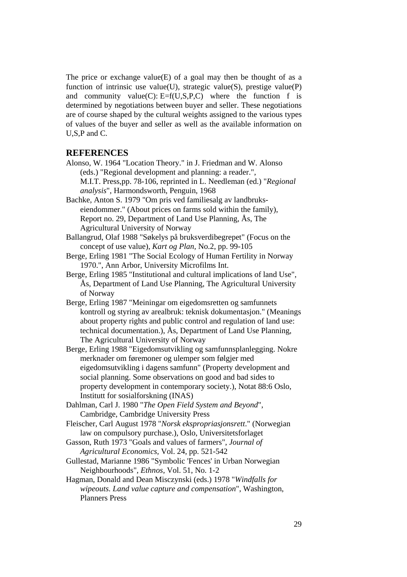The price or exchange value $(E)$  of a goal may then be thought of as a function of intrinsic use value(U), strategic value(S), prestige value(P) and community value(C):  $E=f(U,S,P,C)$  where the function f is determined by negotiations between buyer and seller. These negotiations are of course shaped by the cultural weights assigned to the various types of values of the buyer and seller as well as the available information on U,S,P and C.

#### **REFERENCES**

- Alonso, W. 1964 "Location Theory." in J. Friedman and W. Alonso (eds.) "Regional development and planning: a reader.", M.I.T. Press,pp. 78-106, reprinted in L. Needleman (ed.) "*Regional analysis*", Harmondsworth, Penguin, 1968
- Bachke, Anton S. 1979 "Om pris ved familiesalg av landbrukseiendommer." (About prices on farms sold within the family), Report no. 29, Department of Land Use Planning, Ås, The Agricultural University of Norway

Ballangrud, Olaf 1988 "Søkelys på bruksverdibegrepet" (Focus on the concept of use value), *Kart og Plan,* No.2, pp. 99-105

- Berge, Erling 1981 "The Social Ecology of Human Fertility in Norway 1970.", Ann Arbor, University Microfilms Int.
- Berge, Erling 1985 "Institutional and cultural implications of land Use", Ås, Department of Land Use Planning, The Agricultural University of Norway
- Berge, Erling 1987 "Meiningar om eigedomsretten og samfunnets kontroll og styring av arealbruk: teknisk dokumentasjon." (Meanings about property rights and public control and regulation of land use: technical documentation.), Ås, Department of Land Use Planning, The Agricultural University of Norway
- Berge, Erling 1988 "Eigedomsutvikling og samfunnsplanlegging. Nokre merknader om føremoner og ulemper som følgjer med eigedomsutvikling i dagens samfunn" (Property development and social planning. Some observations on good and bad sides to property development in contemporary society.), Notat 88:6 Oslo, Institutt for sosialforskning (INAS)
- Dahlman, Carl J. 1980 "*The Open Field System and Beyond*", Cambridge, Cambridge University Press
- Fleischer, Carl August 1978 "*Norsk ekspropriasjonsrett*." (Norwegian law on compulsory purchase.), Oslo, Universitetsforlaget
- Gasson, Ruth 1973 "Goals and values of farmers", *Journal of Agricultural Economics,* Vol. 24, pp. 521-542
- Gullestad, Marianne 1986 "Symbolic 'Fences' in Urban Norwegian Neighbourhoods", *Ethnos,* Vol. 51, No. 1-2
- Hagman, Donald and Dean Misczynski (eds.) 1978 "*Windfalls for wipeouts. Land value capture and compensation*", Washington, Planners Press